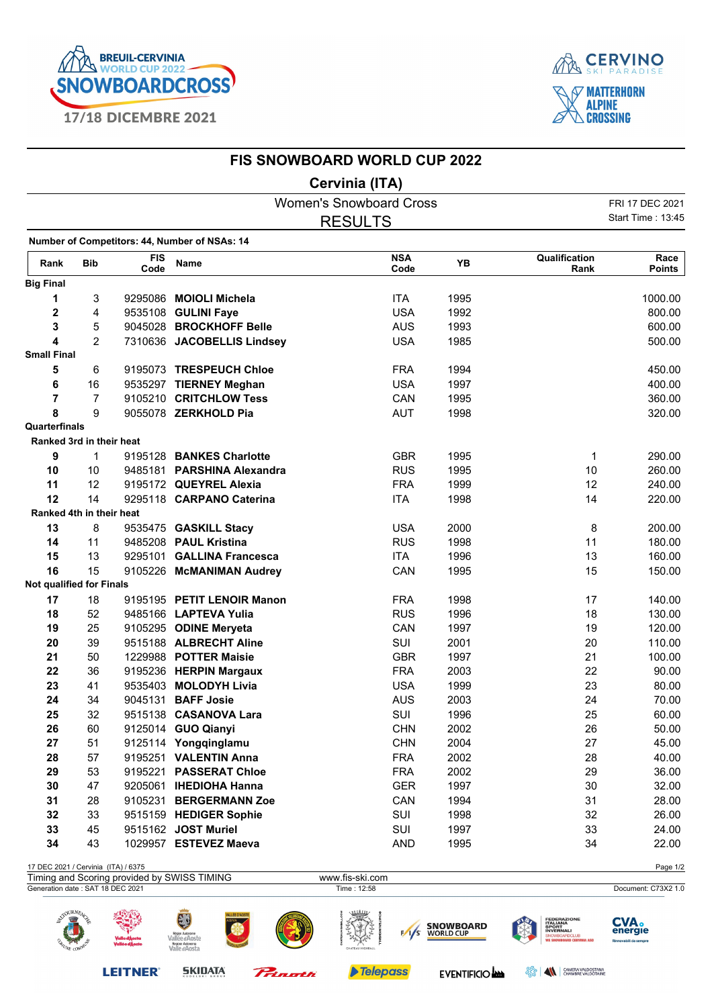



## **FIS SNOWBOARD WORLD CUP 2022**

## **Cervinia (ITA)**

|                                     |                |                    |                                                     | <b>Women's Snowboard Cross</b> |                    |                               |                                                                                                       | FRI 17 DEC 2021                                  |
|-------------------------------------|----------------|--------------------|-----------------------------------------------------|--------------------------------|--------------------|-------------------------------|-------------------------------------------------------------------------------------------------------|--------------------------------------------------|
|                                     |                |                    |                                                     | <b>RESULTS</b>                 |                    |                               |                                                                                                       | Start Time: 13:45                                |
|                                     |                |                    | Number of Competitors: 44, Number of NSAs: 14       |                                |                    |                               |                                                                                                       |                                                  |
| Rank                                | <b>Bib</b>     | <b>FIS</b><br>Code | Name                                                |                                | <b>NSA</b><br>Code | YB                            | Qualification<br>Rank                                                                                 | Race<br><b>Points</b>                            |
| <b>Big Final</b>                    |                |                    |                                                     |                                |                    |                               |                                                                                                       |                                                  |
| 1                                   | 3              |                    | 9295086 MOIOLI Michela                              |                                | <b>ITA</b>         | 1995                          |                                                                                                       | 1000.00                                          |
| 2                                   | 4              |                    | 9535108 GULINI Faye                                 |                                | <b>USA</b>         | 1992                          |                                                                                                       | 800.00                                           |
| 3                                   | 5              |                    | 9045028 BROCKHOFF Belle                             |                                | <b>AUS</b>         | 1993                          |                                                                                                       | 600.00                                           |
| 4                                   | $\overline{2}$ |                    | 7310636 JACOBELLIS Lindsey                          |                                | <b>USA</b>         | 1985                          |                                                                                                       | 500.00                                           |
| <b>Small Final</b>                  |                |                    |                                                     |                                |                    |                               |                                                                                                       |                                                  |
| 5                                   | 6              |                    | 9195073 TRESPEUCH Chloe                             |                                | <b>FRA</b>         | 1994                          |                                                                                                       | 450.00                                           |
| 6                                   | 16             |                    | 9535297 TIERNEY Meghan                              |                                | <b>USA</b>         | 1997                          |                                                                                                       | 400.00                                           |
| 7                                   | $\overline{7}$ |                    | 9105210 CRITCHLOW Tess                              |                                | CAN                | 1995                          |                                                                                                       | 360.00                                           |
| 8                                   | 9              |                    | 9055078 ZERKHOLD Pia                                |                                | <b>AUT</b>         | 1998                          |                                                                                                       | 320.00                                           |
| Quarterfinals                       |                |                    |                                                     |                                |                    |                               |                                                                                                       |                                                  |
| Ranked 3rd in their heat            |                |                    |                                                     |                                |                    |                               |                                                                                                       |                                                  |
| 9                                   | 1              |                    | 9195128 BANKES Charlotte                            |                                | <b>GBR</b>         | 1995                          | 1                                                                                                     | 290.00                                           |
| 10                                  | 10             |                    | 9485181 PARSHINA Alexandra                          |                                | <b>RUS</b>         | 1995                          | 10                                                                                                    | 260.00                                           |
| 11                                  | 12             |                    | 9195172 QUEYREL Alexia                              |                                | <b>FRA</b>         | 1999                          | 12                                                                                                    | 240.00                                           |
| 12                                  | 14             |                    | 9295118 CARPANO Caterina                            |                                | <b>ITA</b>         | 1998                          | 14                                                                                                    | 220.00                                           |
| Ranked 4th in their heat            |                |                    |                                                     |                                |                    |                               |                                                                                                       |                                                  |
| 13                                  | 8              |                    | 9535475 GASKILL Stacy                               |                                | <b>USA</b>         | 2000                          | 8                                                                                                     | 200.00                                           |
| 14                                  | 11             |                    | 9485208 PAUL Kristina                               |                                | <b>RUS</b>         | 1998                          | 11                                                                                                    | 180.00                                           |
| 15                                  | 13             |                    | 9295101 GALLINA Francesca                           |                                | <b>ITA</b>         | 1996                          | 13                                                                                                    | 160.00                                           |
| 16                                  | 15             |                    | 9105226 McMANIMAN Audrey                            |                                | CAN                | 1995                          | 15                                                                                                    | 150.00                                           |
| <b>Not qualified for Finals</b>     |                |                    |                                                     |                                |                    |                               |                                                                                                       |                                                  |
| 17                                  | 18             |                    | 9195195 PETIT LENOIR Manon                          |                                | <b>FRA</b>         | 1998                          | 17                                                                                                    | 140.00                                           |
| 18                                  | 52             |                    | 9485166 LAPTEVA Yulia                               |                                | <b>RUS</b>         | 1996                          | 18                                                                                                    | 130.00                                           |
| 19                                  | 25             |                    | 9105295 ODINE Meryeta                               |                                | CAN                | 1997                          | 19                                                                                                    | 120.00                                           |
| 20                                  | 39             |                    | 9515188 ALBRECHT Aline                              |                                | SUI                | 2001                          | 20                                                                                                    | 110.00                                           |
| 21                                  | 50             |                    | 1229988 POTTER Maisie                               |                                | <b>GBR</b>         | 1997                          | 21                                                                                                    | 100.00                                           |
| 22                                  | 36             |                    | 9195236 HERPIN Margaux                              |                                | <b>FRA</b>         | 2003                          | 22                                                                                                    | 90.00                                            |
| 23                                  | 41             |                    | 9535403 MOLODYH Livia                               |                                | <b>USA</b>         | 1999                          | 23                                                                                                    | 80.00                                            |
| 24                                  | 34             |                    | 9045131 <b>BAFF Josie</b>                           |                                | <b>AUS</b>         | 2003                          | 24                                                                                                    | 70.00                                            |
| 25                                  | 32             |                    | 9515138 CASANOVA Lara                               |                                | SUI                | 1996                          | 25                                                                                                    | 60.00                                            |
| 26                                  | 60             |                    | 9125014 GUO Qianyi                                  |                                | <b>CHN</b>         | 2002                          | 26                                                                                                    | 50.00                                            |
| 27                                  | 51             |                    | 9125114 Yongqinglamu                                |                                | <b>CHN</b>         | 2004                          | 27                                                                                                    | 45.00                                            |
| 28                                  | 57             |                    | 9195251 VALENTIN Anna                               |                                | <b>FRA</b>         | 2002                          | 28                                                                                                    | 40.00                                            |
| 29                                  | 53             |                    | 9195221 PASSERAT Chloe                              |                                | <b>FRA</b>         | 2002                          | 29                                                                                                    | 36.00                                            |
| 30                                  | 47             |                    | 9205061 IHEDIOHA Hanna                              |                                | <b>GER</b>         | 1997                          | 30                                                                                                    | 32.00                                            |
| 31                                  | 28             |                    | 9105231 BERGERMANN Zoe                              |                                | CAN                | 1994                          | 31                                                                                                    | 28.00                                            |
| 32                                  | 33             |                    | 9515159 HEDIGER Sophie                              |                                | SUI                | 1998                          | 32                                                                                                    | 26.00                                            |
| 33                                  | 45             |                    | 9515162 JOST Muriel                                 |                                | SUI                | 1997                          | 33                                                                                                    | 24.00                                            |
| 34                                  | 43             |                    | 1029957 ESTEVEZ Maeva                               |                                | <b>AND</b>         | 1995                          | 34                                                                                                    | 22.00                                            |
| 17 DEC 2021 / Cervinia (ITA) / 6375 |                |                    |                                                     |                                |                    |                               |                                                                                                       | Page 1/2                                         |
| Generation date: SAT 18 DEC 2021    |                |                    | Timing and Scoring provided by SWISS TIMING         | www.fis-ski.com<br>Time: 12:58 |                    |                               |                                                                                                       | Document: C73X2 1.0                              |
|                                     | SOURNEA        |                    | Vallée d'Aoste<br>Regione Autonoma<br>Valle d'Aosta |                                | $\sqrt{5}$         | <b>SNOWBOARD</b><br>WORLD CUP | <b>FEDERAZIONE<br/>ITALIANA<br/>SPORT<br/>INVERNALI</b><br>SNOWBOARDCLUB<br>WE SNOWBOARD CERVINIA ASI | <b>CVA</b> .<br>energie<br>Rinnovabili da sempre |



**SKIDATA** 

Prinoth

Telepass

**EVENTIFICIO** 

**BERRY CHAMBRE VALDOSTANA**